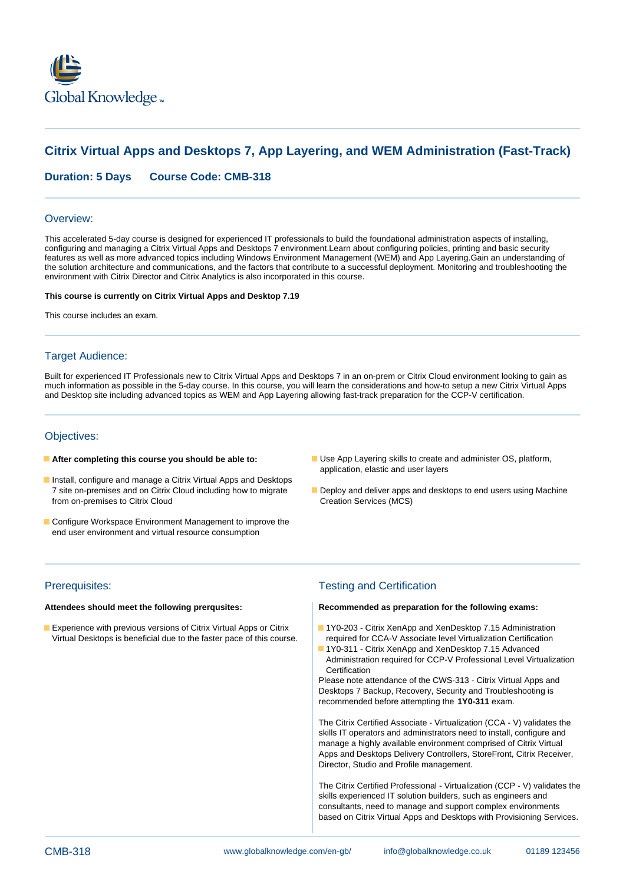

# **Citrix Virtual Apps and Desktops 7, App Layering, and WEM Administration (Fast-Track)**

**Duration: 5 Days Course Code: CMB-318**

### Overview:

This accelerated 5-day course is designed for experienced IT professionals to build the foundational administration aspects of installing, configuring and managing a Citrix Virtual Apps and Desktops 7 environment.Learn about configuring policies, printing and basic security features as well as more advanced topics including Windows Environment Management (WEM) and App Layering.Gain an understanding of the solution architecture and communications, and the factors that contribute to a successful deployment. Monitoring and troubleshooting the environment with Citrix Director and Citrix Analytics is also incorporated in this course.

### **This course is currently on Citrix Virtual Apps and Desktop 7.19**

This course includes an exam.

## Target Audience:

Built for experienced IT Professionals new to Citrix Virtual Apps and Desktops 7 in an on-prem or Citrix Cloud environment looking to gain as much information as possible in the 5-day course. In this course, you will learn the considerations and how-to setup a new Citrix Virtual Apps and Desktop site including advanced topics as WEM and App Layering allowing fast-track preparation for the CCP-V certification.

### Objectives:

- 
- **Install, configure and manage a Citrix Virtual Apps and Desktops** from on-premises to Citrix Cloud
- Configure Workspace Environment Management to improve the end user environment and virtual resource consumption
- **After completing this course you should be able to:** Use App Layering skills to create and administer OS, platform, application, elastic and user layers
	- 7 site on-premises and on Citrix Cloud including how to migrate Deploy and deliver apps and desktops to end users using Machine<br>
	Creation Services (MCS)

**Experience with previous versions of Citrix Virtual Apps or Citrix 1990-189** - Citrix XenApp and XenDesktop 7.15 Administration Virtual Desktops is beneficial due to the faster pace of this course. For equired for CCA-V Associate level Virtualization Certification

## Prerequisites: Testing and Certification

### **Attendees should meet the following prerqusites: Recommended as preparation for the following exams:**

- 
- 1Y0-311 Citrix XenApp and XenDesktop 7.15 Advanced Administration required for CCP-V Professional Level Virtualization **Certification**

Please note attendance of the CWS-313 - Citrix Virtual Apps and Desktops 7 Backup, Recovery, Security and Troubleshooting is recommended before attempting the **1Y0-311** exam.

The Citrix Certified Associate - Virtualization (CCA - V) validates the skills IT operators and administrators need to install, configure and manage a highly available environment comprised of Citrix Virtual Apps and Desktops Delivery Controllers, StoreFront, Citrix Receiver, Director, Studio and Profile management.

The Citrix Certified Professional - Virtualization (CCP - V) validates the skills experienced IT solution builders, such as engineers and consultants, need to manage and support complex environments based on Citrix Virtual Apps and Desktops with Provisioning Services.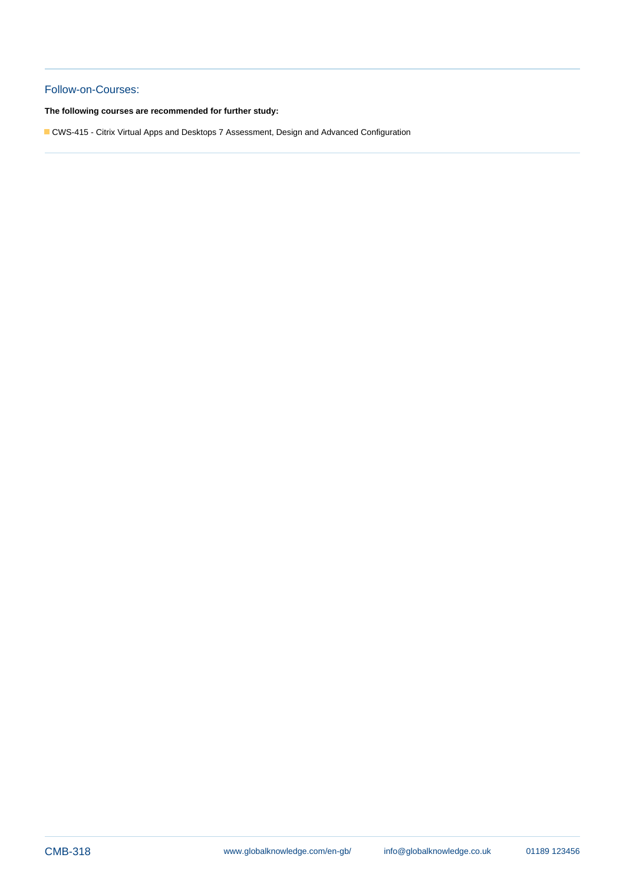## Follow-on-Courses:

**The following courses are recommended for further study:**

CWS-415 - Citrix Virtual Apps and Desktops 7 Assessment, Design and Advanced Configuration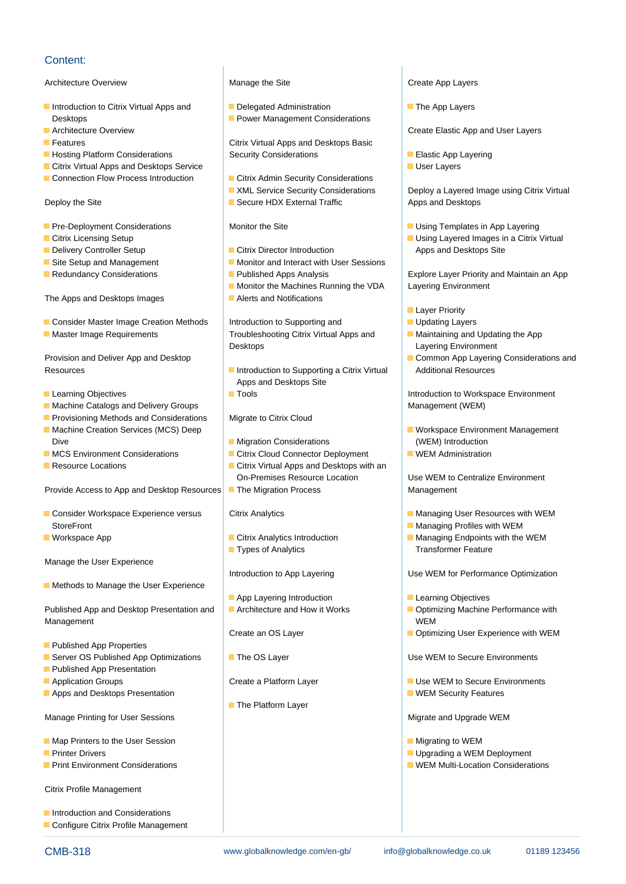## Content:

Architecture Overview **Manage the Site Create App Layers** Create App Layers

- Introduction to Citrix Virtual Apps and Delegated Administration The App Layers Desktops **Power Management Considerations**
- 
- 
- 
- **Example 2** Citrix Virtual Apps and Desktops Service line User Layers and User Layers and User Layers and User Layers and User Layers and User Layers and User Layers and User Layers and User Layers and User Layers and User
- 

- 
- 
- 
- 
- 

The Apps and Desktops Images Alerts and Notifications

- Consider Master Image Creation Methods | Introduction to Supporting and | Introduction to Supporting and Introduction to Supporting and Introduction to Supporting and Integration Methods Integration Methods Integration
- 

- 
- **Machine Catalogs and Delivery Groups Management (WEM)** Management (WEM)
- **Provisioning Methods and Considerations | Migrate to Citrix Cloud lines**
- Dive **Migration Considerations** (WEM) Introduction
- MCS Environment Considerations **Citrix Cloud Connector Deployment** WEM Administration
- 

Provide Access to App and Desktop Resources The Migration Process Management

- Consider Workspace Experience versus Citrix Analytics Managing User Resources with WEM StoreFront **line Managing Profiles with WEM** and Managing Profiles with WEM
- 

Manage the User Experience

 $\blacksquare$  Methods to Manage the User Experience

Published App and Desktop Presentation and **A**rchitecture and How it Works **Optimizing Machine Performance with** Management WEM Number of the Contract of the Contract of the Contract of the Contract of the Contract of the Contract of the Contract of the Contract of the Contract of the Contract of the Contract of the Contract of the C

- **Published App Properties**
- Server OS Published App Optimizations The OS Layer The Use WEM to Secure Environments
- **Published App Presentation**
- 
- **Apps and Desktops Presentation** line web and the WEM Security Features **Container WEM Security Features**

Manage Printing for User Sessions **Migrate and Upgrade WEM** Migrate and Upgrade WEM

- **Map Printers to the User Session** Migrating to WEM **Migrating to WEM**
- 
- 

Citrix Profile Management

**Introduction and Considerations** Configure Citrix Profile Management

line line line

line line

**Features Citrix Virtual Apps and Desktops Basic** ■ Hosting Platform Considerations Security Considerations ■ Elastic App Layering

- Connection Flow Process Introduction **Citrix Admin Security Considerations** 
	-
	-

- **Delivery Controller Setup Citrix Director Introduction** Apps and Desktops Site
- Site Setup and Management Monitor and Interact with User Sessions
	-
	- Monitor the Machines Running the VDA Layering Environment
	-

Master Image Requirements Troubleshooting Citrix Virtual Apps and Maintaining and Updating the App Desktops **Layering Environment** 

- Resources **Introduction to Supporting a Citrix Virtual Additional Resources** Apps and Desktops Site
	-
	-
	-
- **Resource Locations** Citrix Virtual Apps and Desktops with an On-Premises Resource Location Use WEM to Centralize Environment
	-

line line

**Types of Analytics** Transformer Feature

- **App Layering Introduction Learning Objectives**
- 
- 
- 

line line

- 
- **The Platform Layer**

**Architecture Overview Create Elastic App and User Layers** Create Elastic App and User Layers

- 
- 

■ XML Service Security Considerations | Deploy a Layered Image using Citrix Virtual Deploy the Site Secure HDX External Traffic Apps and Desktops

- **Pre-Deployment Considerations Constant Constant Constant Constant Considerations** Monitor the Site Using Templates in App Layering
- Citrix Licensing Setup line using Layered Images in a Citrix Virtual

Redundancy Considerations **Published Apps Analysis** Explore Layer Priority and Maintain an App

- **Layer Priority**
- 
- 
- Provision and Deliver App and Desktop line Line Common App Layering Considerations and

**Learning Objectives The Internal Intervention of Contract Intervention to Workspace Environment** 

- Machine Creation Services (MCS) Deep line workspace Workspace Environment Management
	-

- 
- 
- Workspace App **Managing Endpoints with the WEM** Citrix Analytics Introduction Managing Endpoints with the WEM

Introduction to App Layering **Nationary Construction Introduction to App Layering Construction** Use WEM for Performance Optimization

- 
- 
- Create an OS Layer **Optimizing User Experience with WEM**

**Application Groups Create a Platform Layer Create a Platform Layer Create A Platform Layer Create A Platform Layer Create A Platform Layer Create A Use WEM to Secure Environments** 

- 
- **Printer Drivers Contract Contract Contract Contract Contract Contract Contract Contract Contract Contract Contract Contract Contract Contract Contract Contract Contract Contract Contract Contract Contract Contract Contrac**
- **Print Environment Considerations WEM Multi-Location Considerations**